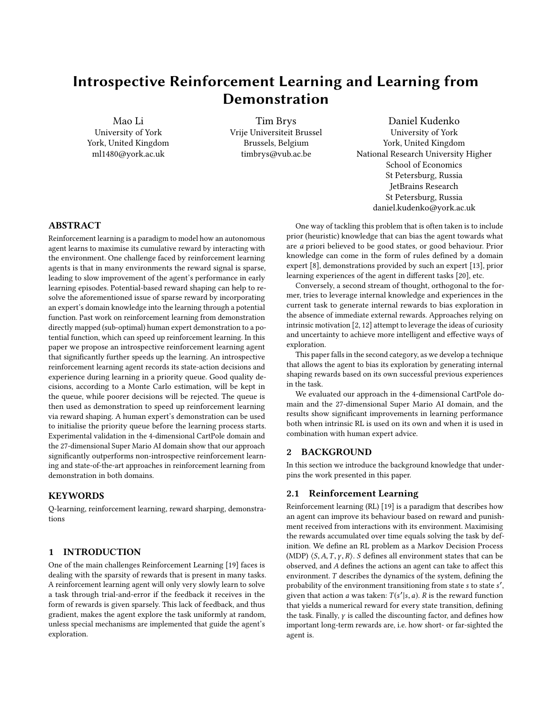# Introspective Reinforcement Learning and Learning from Demonstration

Mao Li University of York York, United Kingdom ml1480@york.ac.uk

Tim Brys Vrije Universiteit Brussel Brussels, Belgium timbrys@vub.ac.be

Daniel Kudenko University of York York, United Kingdom National Research University Higher School of Economics St Petersburg, Russia JetBrains Research St Petersburg, Russia daniel.kudenko@york.ac.uk

#### ABSTRACT

Reinforcement learning is a paradigm to model how an autonomous agent learns to maximise its cumulative reward by interacting with the environment. One challenge faced by reinforcement learning agents is that in many environments the reward signal is sparse, leading to slow improvement of the agent's performance in early learning episodes. Potential-based reward shaping can help to resolve the aforementioned issue of sparse reward by incorporating an expert's domain knowledge into the learning through a potential function. Past work on reinforcement learning from demonstration directly mapped (sub-optimal) human expert demonstration to a potential function, which can speed up reinforcement learning. In this paper we propose an introspective reinforcement learning agent that significantly further speeds up the learning. An introspective reinforcement learning agent records its state-action decisions and experience during learning in a priority queue. Good quality decisions, according to a Monte Carlo estimation, will be kept in the queue, while poorer decisions will be rejected. The queue is then used as demonstration to speed up reinforcement learning via reward shaping. A human expert's demonstration can be used to initialise the priority queue before the learning process starts. Experimental validation in the 4-dimensional CartPole domain and the 27-dimensional Super Mario AI domain show that our approach significantly outperforms non-introspective reinforcement learning and state-of-the-art approaches in reinforcement learning from demonstration in both domains.

# **KEYWORDS**

Q-learning, reinforcement learning, reward sharping, demonstrations

#### 1 INTRODUCTION

One of the main challenges Reinforcement Learning [\[19\]](#page-6-0) faces is dealing with the sparsity of rewards that is present in many tasks. A reinforcement learning agent will only very slowly learn to solve a task through trial-and-error if the feedback it receives in the form of rewards is given sparsely. This lack of feedback, and thus gradient, makes the agent explore the task uniformly at random, unless special mechanisms are implemented that guide the agent's exploration.

One way of tackling this problem that is often taken is to include prior (heuristic) knowledge that can bias the agent towards what are a priori believed to be good states, or good behaviour. Prior knowledge can come in the form of rules defined by a domain expert [\[8\]](#page-6-1), demonstrations provided by such an expert [\[13\]](#page-6-2), prior learning experiences of the agent in different tasks [\[20\]](#page-6-3), etc.

Conversely, a second stream of thought, orthogonal to the former, tries to leverage internal knowledge and experiences in the current task to generate internal rewards to bias exploration in the absence of immediate external rewards. Approaches relying on intrinsic motivation [\[2,](#page-5-0) [12\]](#page-6-4) attempt to leverage the ideas of curiosity and uncertainty to achieve more intelligent and effective ways of exploration.

This paper falls in the second category, as we develop a technique that allows the agent to bias its exploration by generating internal shaping rewards based on its own successful previous experiences in the task.

We evaluated our approach in the 4-dimensional CartPole domain and the 27-dimensional Super Mario AI domain, and the results show significant improvements in learning performance both when intrinsic RL is used on its own and when it is used in combination with human expert advice.

#### 2 BACKGROUND

In this section we introduce the background knowledge that underpins the work presented in this paper.

#### 2.1 Reinforcement Learning

Reinforcement learning (RL) [\[19\]](#page-6-0) is a paradigm that describes how an agent can improve its behaviour based on reward and punishment received from interactions with its environment. Maximising the rewards accumulated over time equals solving the task by definition. We define an RL problem as a Markov Decision Process (MDP)  $\langle S, A, T, \gamma, R \rangle$ . S defines all environment states that can be observed, and A defines the actions an agent can take to affect this environment. T describes the dynamics of the system, defining the probability of the environment transitioning from state s to state s', since that action a was taken:  $T(s'|s, a)$ , B is the reward function given that action a was taken:  $T(s'|s, a)$ . R is the reward function<br>that vields a numerical reward for every state transition, defining that yields a numerical reward for every state transition, defining the task. Finally,  $\gamma$  is called the discounting factor, and defines how important long-term rewards are, i.e. how short- or far-sighted the agent is.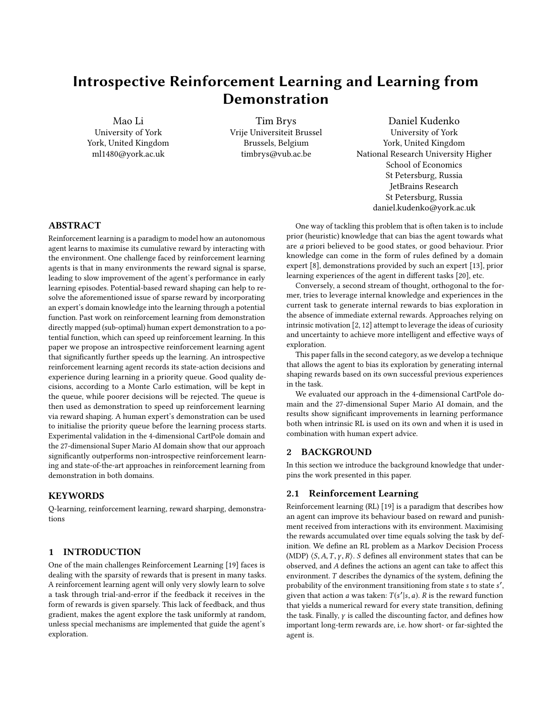The goal of an RL agent is to find behaviour, i.e. a policy  $\pi$ :  $S \rightarrow A$  that maximise the expected accumulation of rewards. Many approaches do not directly search the policy space, but instead estimate the quality of actions in each state, and derive a policy from these estimates. The quality of states and actions is defined by the  $Q$ -function:  $Q : S \times A \rightarrow \mathbb{R}$ . Temporal difference algorithms, such as Q-learning [\[23\]](#page-6-5), approximate the true Q-function by incrementally updating their estimates:

$$
Q(s, a) \leftarrow Q(s, a) + \alpha \delta
$$

 $\alpha$  is the learning rate, and  $\delta$  is the temporal-difference error, the difference between the previous estimate and the target being tracked:

$$
\delta = R(s, a, s') + \gamma \max_{a'} Q(s', a') - Q(s, a)
$$

Q-learning is guaranteed to converge to the true Q-values, and thus an optimal policy, given certain assumptions such as a decreasing learning rate [\[22\]](#page-6-6).

# 2.2 Reward Shaping

Vanilla versions of model-free RL algorithms typically require excessive amounts of interactions with the environment to learn high quality policies, because they do not incorporate prior knowledge to guide exploration. They must therefore rely on uniformly random exploration of the state-action space in order to stumble on the typically sparse rewards. Only after enough state transitions and their associated rewards have been observed can the agent start to exploit this knowledge by biasing its action selection towards what its estimates indicate are good actions. Incorporating prior knowledge to bias initial exploration is a successful way of reducing learning time in reinforcement learning, the most notable recent example being AlphaGO using expert demonstration data [\[15\]](#page-6-7).

Reward shaping, derived from behavioural psychology, is a popular way of including prior knowledge in the learning process in order to alleviate the random exploration problem. It provides a learning agent with extra intermediate rewards, like a dog trainer would reward a dog for completing part of a task. This extra reward can enrich a sparse base reward signal (for example a signal that only gives non-zero feedback when the agent reaches the goal), providing the agent with useful gradient information. This shaping reward  $F$  is added to the environment's reward  $R$  to create a new composite reward signal that the agent uses for learning:

$$
R_F(s, a, s') = R(s, a, s') + F(s, a, s')
$$

Of course, since the reward function defines the task, modifying the reward function may modify the total order over policies, and make the agent converge to suboptimal policies (with respect to the environment's reward alone).

Following Ng et al. [\[10\]](#page-6-8), we define a potential function  $: S \to \mathbb{R}$ over the state space, and take the reward shaping function  $F$  as the difference between the new and old states' potential. Doing that provably maintains the total order over policies, and preserves any convergence guarantees [\[10\]](#page-6-8):

$$
F(s, a, s') = \gamma \quad (s') - \quad (s)
$$

Prior knowledge can be numerically encoded in the potential function . The effect of applying such reward shaping, which is typically denser than the sparse environment reward, is that the agent is more likely to encounter non-zero rewards, and thus its exploration will move away from uniform random much earlier in learning. Instead, it will be biased towards states with high potentials. For example, using height as a potential function in Mountain Car [\[16\]](#page-6-9) biases the agent to selecting actions that will increase height. Since the goal location in Mountain Car lies on top of a hill, shaping using this heuristic helps an agent solve that task faster.

The definition of  $F$  and was extended by others ([\[5,](#page-5-1) [6,](#page-5-2) [24\]](#page-6-10)) to include actions and time-steps, allowing for the incorporation of behavioural knowledge that reflects the quality of actions as well as states, and allowing the shaping to change over time:

$$
F(s, a, t, s', a', t') = \gamma \ (s', a', t') - (s, a, t)
$$

These extensions also preserve the total order over policies and therefore do not change the task, given Ng's original assumptions.

#### <span id="page-1-0"></span>2.3 RL from demonstration

Reinforcement learning from demonstration is a term coined by Schaal [\[13\]](#page-6-2) to denote the intersection between the fields of reinforcement learning and learning from demonstration. As in RL, an agent operating in a Learning from Demonstration (LfD) setting looks for a policy  $\pi$  that allows it to execute a task [\[1\]](#page-5-3). While in RL, the agent has a reward signal to evaluate behaviour, this objective evaluation metric is not present in the LfD setting (similarly for inverse reinforcement learning [\[11,](#page-6-11) [18\]](#page-6-12)), and the agent must refer to expert demonstrations (sequences of state-action pairs  $\{(s_0, a_0), \ldots, (s_n, a_n)\}\)$  of the task to derive a policy that mimicks and generalises these demonstrations. This constrains the LfD agent to the behaviour the expert demonstrator exhibits (however good or bad). On the other hand, LfD agents are typically much more sample efficient than RL agents, requiring orders of magnitude less demonstrator samples than an RL agent needs environment interactions to learn good behaviour.

A Reinforcement Learning from Demonstration agent, possessing both an objective reward signal and demonstrations, is able to combine the best from both fields, leveraging demonstrations to direct what would otherwise be uniform random exploration and thus speed up learning, while leaving the theoretical guarantees associated with reinforcement learning in place, as the objective reward signal allows such an agent to eventually outperform a potentially sub-optimal demonstrator.

Schaal [\[13\]](#page-6-2) proposed two basic approaches to using demonstrations in a reinforcement learning setting that were later developed by other researchers. One is the generation of an initial valuefunction for Q-learning by using the demonstrations as passive learning experiences for the RL agent. This was later built upon by Smart and Kaelbling [\[17\]](#page-6-13). The other approach derives an initial policy from the demonstrations and uses that to kickstart the RL agent. This approach was picked up and further developed in [\[4,](#page-5-4) [18,](#page-6-12) [21\]](#page-6-14). In this paper, we mainly build upon and compare with the demonstration reward shaping work from [\[4\]](#page-5-4).

In that work, demonstrations are encoded as a reward shaping function by defining a Gaussian similarity measure over the state space:

<span id="page-1-1"></span>
$$
g(s, s^d, ) = e^{\left(-\frac{1}{2}(s-s^d)^T - 1(s-s^d)\right)}
$$
(1)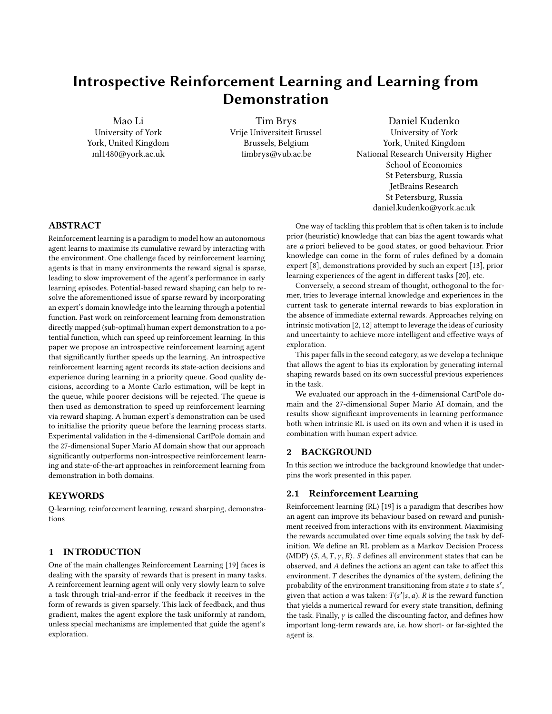and subsequently incorporating it in the potential function as follows:

<span id="page-2-1"></span>
$$
(s, a) = \max_{(s^d, a)} g(s, s^d, \quad)
$$
 (2)

 $(s^d, a)$ <br>thus creating a Gaussian landscape that rewards the agent for mimicking the demonstrator, but allows it to deviate from the demonstrator's example as well.

# 3 PRINCIPLES OF INTROSPECTIVE RL

This section will describe the methodology of using the agent's own experiences to shape the reward function in order to bias exploration and speed up reinforcement learning. Typically, in complex environments, rewards must be observed many times before the agent acquires a significant behavioural bias towards pursuing those rewards. In the Introspective Reinforcement Learning approach we propose, we leverage these experiences to include a more explicit bias, by shaping the reward function, rewarding current behaviour that is similar to past behaviour that led to rewards. A different perspective on this is to say that those previous experiences that led to rewards are task demonstrations (provided by the agent itself), which can be used to bias the agent's current exploration in the same fashion as external expert demonstrations would be used as described above in Section [2.3.](#page-1-0) If actual external expert demonstrations are available, these could even be used to initialised the introspective agent's bias.

#### 3.1 Collecting the experiences

Introspective Reinforcement Learning extends RL by adding an experience filter module, and addresses the reward sparsity problem using dynamic reward shaping based on the filtered experiences. The experience filter collects the agent's exploratory behaviour that led to positive outcomes into a priority queue. These experiences are then immediately used as an exploratory bias to speed up the learning process.

Specifically, during a learning episode, every state-action-next state-reward tuple  $((s_t, a_t, s_{t+1}, r_t))$  is stored in memory. At the end<br>of the enisode, the O-value  $\hat{a}(s_t, a_t)$  for each state-action in this state-reward tuple  $((s_t, a_t, s_{t+1}, r_t))$  is stored in memory. At the end<br>of the episode, the Q-value  $\hat{q}(s_t, a_t)$  for each state-action in this<br>episode is Monte Carlo estimated until the final time stap T. episode is Monte Carlo estimated until the final time step  $T$ :

$$
\widehat{q}(s_t, a_t) = \sum_{k=t}^{T} \gamma^{k-t} r_t
$$
\n(3)

The state-action pairs and their estimated Q-values are then stored in a priority queue with the estimated Q-values being the sort key of the queue. If the queue is full (defined by queue size parameter qs), only state-action pairs with a higher estimated Qvalue than the smallest in the queue are added (and the smallest are consequently removed). If the queue is not full, all state-action pairs and their estimated Q-value are added.

Progressively, poorer Q-value elements of the queue will be removed, and experiences with higher estimated performance levels will remain. Thus, the exploratory bias induced by these experiences will progressively increase in quality.

Introspective RL is using prior experience to compute a reward shaping function, rather than using it to replay past experience directly [\[14\]](#page-6-15). As such, our approach is closer to the automatic generation of a reward shaping function. Also, our approach does not depend on using poor performing actions in the priority queue, which is sorted by Q value (and not TD error as in prioritised experience replay). Furthermore, dynamic reward shaping [\[5\]](#page-5-1), as applied to experience reuse in our approach, has been proven to conserve the convergence guarantees of the RL algorithm used, in our case  $O(\lambda)$ .

### 3.2 Defining the Potential Function

In the manner of [\[4\]](#page-5-4), we encode state-action pairs as a potential function using a Gaussian similarity metric.<sup>[1](#page-2-0)</sup> The assumption is that, if in the agent's past experience, certain state-action pairs led to high rewards, taking the same action in a similar state might lead to similarly high rewards.

When the potential function  $(s, a)$  needs to be calculated in a certain state-action pair  $(s, a)$ , first the agent must look in the priority queue for the recorded state-action pair that is most similar to the current, using Equation [1.](#page-1-1) Then the potential function is defined as follows:

$$
(s, a) = \rho \max_{(s^d, a)} g(s, s^d, \eta) \widehat{q}(s^d, a) \tag{4}
$$

which is a modification of Equation [2,](#page-2-1) incorporating the actual estimated quality of that state-action pair  $\hat{q}$ , and a scaling factor  $\rho$ to control the strength of the exploratory bias induced.

Since the agent progressively collects more and more experiences, in principle of higher and higher quality, the potential function will change from episode to episode, making this potential function a dynamic one. Note that theoretical guarantees, i.e. that the optimal policy does not change, hold for dynamic potentialbased advice [\[6\]](#page-5-2), and that no modification to the policy needs to be made given that the initial Q-function is all zeroes.

# 3.3 Initialising the Priority Queue with Demonstrations of External Agents

Even though the introspective reinforcement learning idea is focused on using the agent's own experiences to bias its learning, it is also completely amenable to receiving an a priori-bias from demonstrations provided by an external agent. Such demonstrations can easily be incorporated by putting them through the same process of estimating Q-values and storing them in the priority queue as the experiences collected by the agent itself. When qualitatively good, these demonstrations can prevent the agent from initially filling the priority queue with whatever low-quality random trajectories it executes first, allowing it to be positively guided from the first episode.

Specifically, demonstration data from external agents will be collected as a set of episodes, i.e. sequences of state-action pairs that terminate in an end-state. Monte Carlo estimation of the Qvalue  $\hat{q}(s_i, a_i)$  is performed, and the individual state-action pairs,<br>quomented with the estimated O-value are inserted into the priority augmented with the estimated  $Q$ -value are inserted into the priority queue. If the demonstration data does not include the reward signal, a viable solution may be to set the reward to 1 for all  $(s_n, a_n)$ . The

<span id="page-2-0"></span> $^{\rm 1}$  As opposed to the external expert demonstrations used in their work, we encode the agent's own filtered experiences in the potential function.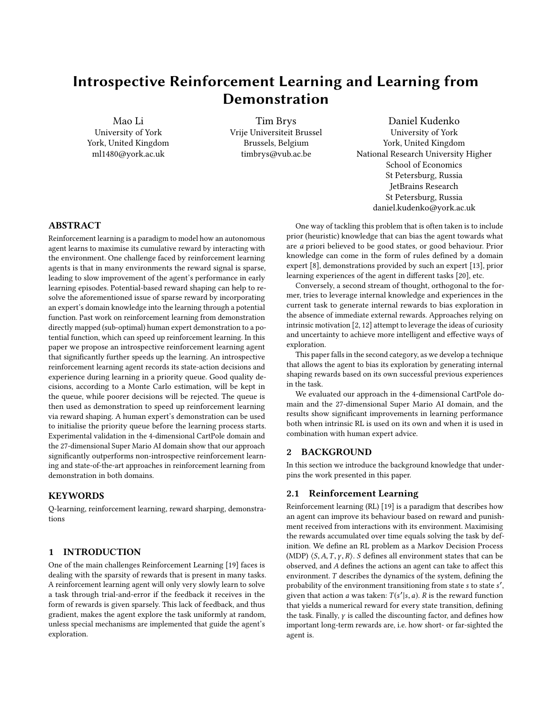Reinforcement Learning from Demonstration work we base ourselves on successfully deals with this problem in the same way [\[4\]](#page-5-4).

## 3.4 Pulling it together

<span id="page-3-0"></span> $\overline{AD}$ 

The pseudo-code in Algorithms [1](#page-3-0) and [2](#page-3-1) describe a Q-learning agent employing the introspective technique to shape its exploration, showing how all components interact on an algorithmic scale.

|     | <b>Algorithm 1</b> introspective Q-Learning                                       |
|-----|-----------------------------------------------------------------------------------|
|     | <b>Require:</b> discount factor $\gamma$ , learning rate $\alpha$ , queue size qs |
|     | 1: procedure INTROSPECTIVE Q-LEARNING                                             |
| 2:  | initialise value-function $Q$ to all 0.                                           |
| 3:  | initialise the priority queue $PQ$                                                |
| 4:  | (empty or with demonstrations)                                                    |
| 5:  | for each step of episode do                                                       |
| 6:  | $s_t$ is initialised as the starting state                                        |
| 7:  | choose $a_t$ in $s_t$ using $\pi$ derived from Q                                  |
| 8:  | $SC = \text{empty list}$ $\rightarrow SC$ collects all experience tuples          |
|     | $(s, a, s', r)$ in an episode                                                     |
| 9:  | repeat                                                                            |
| 10: | perform action $a_t$                                                              |
| 11: | observe reward $r_t$ and new state $s_{t+1}$                                      |
| 12: | choose $a_{t+1}$ in $s_{t+1}$ using $\pi$ derived from Q                          |
| 13: |                                                                                   |
|     | $Q(s_t, a_t) \leftarrow Q(s_t, a_t) + \alpha(r_t)$                                |
|     | + $F(s_t, a_t, s_{t+1}, a_{t+1})$                                                 |
|     | (5)<br>+ $\gamma$ max $Q(s_{t+1}, b)$                                             |
|     | $-Q(s_t, a_t)$                                                                    |
| 14: | insert $(s_t, a_t, s_{t+1}, r_t)$ to SC<br>$\triangleright$ Collect steps         |
| 15: | $s_t \leftarrow s_{t+1}$                                                          |
| 16: | $a_t \leftarrow a_{t+1}$                                                          |
| 17: | <b>until</b> $s_t$ is a terminal state                                            |
| 18: | for each $(s_t, a_t, s_{t+1}, r_t)$ in SC do                                      |
| 19: | <b>for</b> <i>i</i> in [0, 1, , <i>length</i> (SC) – <i>t</i> ] <b>do</b>         |
| 20: | $\widehat{q_t} \leftarrow \widehat{q_t} + \gamma^i r_{t+i}$                       |
| 21: | end for                                                                           |
| 22: | FILTER(< $s_t$ , $a_t$ , $\widehat{q}_t$ >, PO)                                   |
| 23: | end for                                                                           |
| 24: | end for                                                                           |
|     | 25: end procedure                                                                 |

#### 4 EXPERIMENTAL VALIDATION

Two domains, CartPole and Super Mario, were selected to demonstrate the strength of the proposed approach in this paper.  $Q(\lambda)$ learning and Reinforcement learning from Demonstration [\[4\]](#page-5-4) were used as benchmarks to be compared with the learning curve of the proposed approach. In CartPole and Super Mario, ten and twenty trial demonstrations from human experts were used respectively to initialise the priority queue and shape the RLfD agent.

The results of all curves have passed a t-test, in which every 100 running results was averaged to be one sample and 30 samples were involved in the test. The t-test was conducted every hundredth step <span id="page-3-1"></span>Algorithm 2 Filter High Q-value Experience

Require: queue size qs

1: **procedure** FILTER(<  $s_t$ ,  $a_t$ ,  $\hat{q}_t$  >, PQ)

- 2: **if** Size of *PQ* < *qs* then<br>3: Insert(*PQ*, < *s<sub>t</sub>*, *a<sub>t</sub>*, *ą*
- 3: Insert(PQ, <  $s_t$ ,  $a_t$ ,  $\hat{q}_t$  >)
- 4: else
- 5:  $\langle s_e, a_e, \hat{q}_e \rangle \leftarrow$  the last element of PQ<br>6: if  $\hat{q}_i > \hat{q}_e$  then
- 6: if  $\hat{q}_t > \hat{q}_e$  then<br>7: Remove < s<sub>4</sub>
- 7: Remove  $\langle s_e, a_e, \hat{q}_e \rangle$  from PQ<br>8: Insert(PO,  $\langle s_t, a_t, \hat{a}_t \rangle$ )
- 8: Insert $(PQ, < s_t, a_t, \hat{q}_t >)$
- 9: end if
- 10: end if

11: end procedure

<span id="page-3-2"></span>

Figure 1: CartPole learning curves of  $O(\lambda)$ -learning and Introspective RL without any external demonstrations

for the samples. All the presented empirical results are statistically different with  $p < 0.05$ .

#### 4.1 CartPole

In the CartPole domain [\[9\]](#page-6-16), the RL agent controls a cart with a pole at its centre connected by a mechanical coupling. The RL agent learns to keep the pole balanced by pushing the cart to the left or the right. The observation consists of 4 features: the cart's velocity, its position, the angle of the pole, and its angular velocity.

In the experiments,  $Q(\lambda)$ -learning and reinforcement learning from demonstration, abbreviated as RLfD, were used as the benchmarks to be compared to introspective RL with and without demonstrations, to show the advantages of introspection. We set all parameters following [\[4\]](#page-5-4) with whose RLfD method we will compare: learning rate  $\alpha = \frac{0.25}{16}$ , discount rate  $\gamma = 1.0$ ,  $\lambda = 0.25$  and an  $\epsilon$ -greedy exploration strategy with  $\epsilon$  = 0.05. Tile coding was used as the function approximation with 16 10  $\times$  10 tilings. Additionally, the potential-function scaling parameter  $\rho = 0.2$ .

Figure [1](#page-3-2) shows the results of comparing plain  $Q(\lambda)$ -learning with introspective RL (without demonstrations). While both methods converge to optimal behaviour, the results show that introspection leads the agent to learn significantly faster than the regular  $Q(\lambda)$ learning agent. Since the  $\lambda$  parameter chosen in [\[4\]](#page-5-4) and adopted by us is quite low, we show experiments with two higher  $\lambda \in$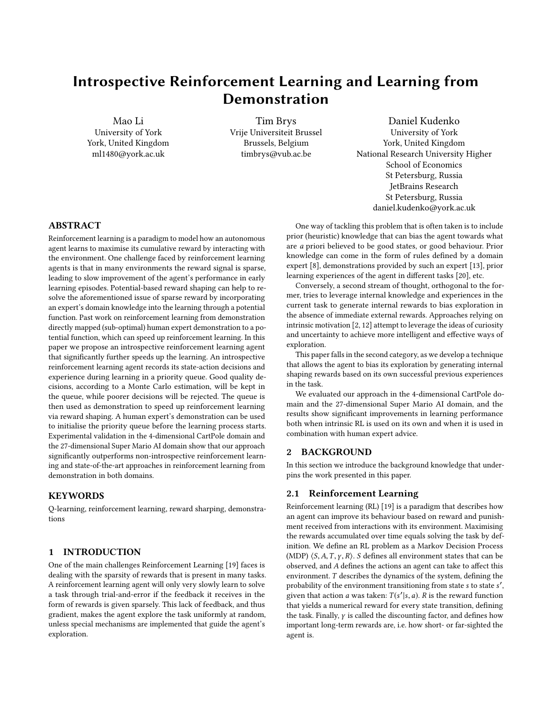<span id="page-4-0"></span>

Figure 2: CartPole learning curves of  $Q(\lambda)$ -learning, and Introspective RL for  $\lambda \in \{0.25, 0.4, 0.5, 0.8\}.$ 

<span id="page-4-1"></span>

Figure 3: CartPole learning curves of  $Q(\lambda)$ -learning, Reinforcement learning from Demonstration, and Introspective RL with demonstrations

 $\{0.4, 0.8\}$  in Figure [2.](#page-4-0) For higher  $\lambda$ , convergence for both methods is significantly faster, but the introspection advantage remains.

In Figure [3,](#page-4-1) we show the effect of external demonstrations on the learning processes. We compare the baseline  $Q(\lambda)$ -learning without demonstrations, with the RLfD approach provided with 10 different demonstrations, and our Introspective  $Q(\lambda)$  agent using the same 10 demonstrations to seed the experience queue. The external demonstrations have sub-optimal performance between 450 to 700 steps of keeping the pole up. The results show that while leveraging demonstrations can help, giving RLfD a jumpstart compared to the vanilla  $Q(\lambda)$ -learner and the introspective agent, the introspective agent very quickly outperforms both other agents. Since the use of demonstrations and the introspective mechanism are orthogonal to each other, we see here that they can be combined to provide a more powerful learner. Furthermore, the introspective mechanism will replace the potentially sub-optimal external demonstrations' exploratory bias as the agent discovers better trajectories by itself. In the static RLfD case, the suboptimal bias remain throughout the

learning process. Even though theoretical guarantees for convergence apply to both the dynamic introspective case as the static RLfD case, it is clearly better to dynamically change the bias to include higher and higher quality experiences.

#### 4.2 Super Mario AI competition benchmark

Super Mario Bros is a famous 2-D side-scrolling video game first released by Nintendo in 1985. [\[7\]](#page-5-5) converted this game into an AI algorithm competition benchmark. The goal of the game is for the agent to maximise its points. Points are earned for collecting coins, killing enemies, and finishing a game level, while points are subtracted for getting hurt and dying. The game ends when the agent is killed by an enemy, drops from a cliff, runs out of time, or finishes the level. The RL agent's reward corresponds to the points collected in the Super Mario game (e.g. for collecting coins or killing enemies) and to a large extent on being able to complete the level. Negative rewards are given for getting hurt by enemies or falling off a cliff.

The actions available to the Mario agent correspond to the buttons on the original game controller, which are (left, right, no direction), (jump, don't jump), and (run/fire, don't run/fire). One action from each of these groups can be taken simultaneously, resulting in 12 distinct combined actions. We use the same state-space as described in [\[3\]](#page-5-6), which involves 27 discrete state features:

- 1 is Mario able to jump? (Boolean)
- 2 is Mario on the ground? (Boolean)
- 3 is Mario able to shoot fireballs? (Boolean)
- 4-5 Mario's direction in the horizontal and vertical planes  $({-1, 0, 1})$
- 6-9 is there an obstacle in one of the four vertical grid cells in front of Mario? (Boolean)
- 10-17 is there an enemy within one grid cell removed from Mario in one of eight different directions (left, up-left, up, up-right, etc.) (Boolean)
- 18-25 as the previous, but for enemies within two to three grid cells. (Boolean)
- 26-27 the relative horizontal and vertical positions of the closest enemy ((−10, <sup>10</sup>), measured in grid cells, plus one value indicating an absence of enemies)

Similar to the CartPole domain, we used  $Q(\lambda)$ -learning and RLfD as benchmarks. The parameters were taken from [\[3\]](#page-5-6), with the learning rate  $\alpha = 0.001$ , discount factor  $\gamma = 0.9$ ,  $\epsilon$ -greedy exploration with  $\epsilon = 0.05$ ,  $\lambda = 0.5$  with the additional  $\sigma = 0.5$  for RLfD.

Figure [5](#page-5-7) shows the learning curves of  $Q(\lambda)$ -learning and the introspective reinforcement learning agent without demonstrations in the Super Mario domain. We show results for two different values of the potential function scaling factor  $\rho$ . The results are similar to the CartPole domain in that the learning performance of the introspective reinforcement learning agent without demonstrations significantly improves over that of  $Q(\lambda)$ -learning, and reaches the asymptotic performance level earlier.

In another set of experiments, shown in Figure [6,](#page-5-8) 20 demonstration episodes from a human player (all with a performance score between 400 to 650) are used to initialise the priority queue for introspective RL. The results show that also in this highly complex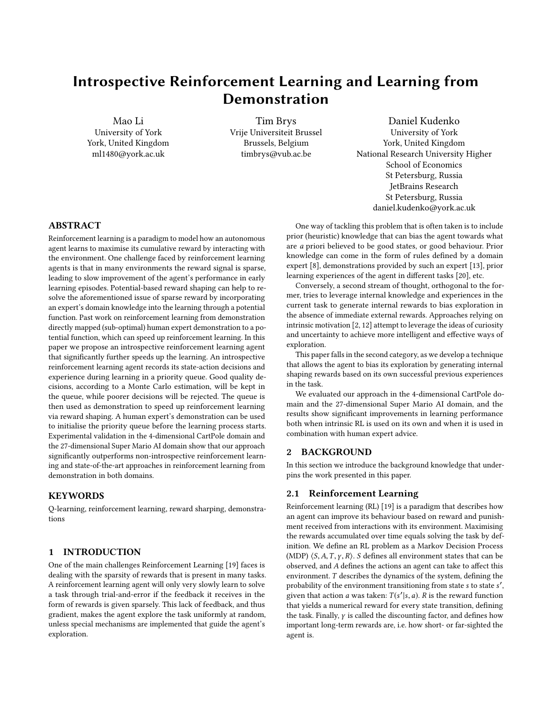

Figure 4: A Super Mario screen shot

<span id="page-5-7"></span>

Figure 5: Super Mario Domain learning curves of  $Q(\lambda)$ learning, and Introspective RL without demonstration

<span id="page-5-8"></span>

Figure 6: Super Mario Domain learning curves of  $Q(\lambda)$ learning, RLfD, and Introspective RL with demonstration

domain, introspective RL with demonstrations outperforms both RLfD and regular  $Q(\lambda)$ -learning.

# 5 CONCLUSION AND FUTURE WORK

In this paper, we presented the idea of introspective reinforcement learning which takes inspiration from learning by demonstration. However, instead of using external expert demonstration to guide the learning, the reinforcement learning agent uses its own experiences that have produced high rewards in the past. The agent keeps a priority queue to record the most successful experiences as tuples of the form  $\langle s, a, \hat{q} \rangle$ , where the Q value is obtained by Monte Carlo estimation. When the agent executes an action that is the same as the action of the most similar state in the priority queue, a reward based on the product of  $\rho$ ,  $\hat{q}$ , and the degree of similarity is added, where  $\rho$  is the hyper parameter that controls the weight of the reward shaping signal. Human experts' demonstrations can be used by injecting the corresponding state-action-q triples into the priority queue. In this way, introspective RL can be complementary to reinforcement learning from demonstration.

We empirically evaluated our introspective RL approach on two domains, namely the CartPole domain with 4 continuous features and the Super Mario domain with 27 discrete features. The results showed that the introspective reinforcement learning agent surpasses regular  $Q(\lambda)$ -learning performance significantly and reaches the asymptotic performance much earlier. Furthermore, introspective reinforcement learning with demonstrations significantly improves performance in both domains compared to state-of-the-art reinforcement learning from demonstration. The empirical results also show that while introspective RL can use up more computational time per learning step, this loss is counterbalanced by a reduced sample complexity, which is generally more critical than computational complexity.

In future work, we intend to apply introspective RL to deep Q learning. For example, the similarity of parameters in high layers of the Q-value neural network may be considered to represent the similarity of state in a high-level concept and could be used for reward shaping. Another promising area of investigation is the optimisation of the balance between the extra reward signals and the real rewards from the environment. A more sophisticated control of the parameter  $\rho$  (e.g. decay over time) could help to improve the learning performance.

#### REFERENCES

- <span id="page-5-3"></span>[1] Brenna D. Argall, Sonia Chernova, Manuela Veloso, and Brett Browning. 2009. A survey of robot learning from demonstration. Robotics and autonomous systems 57, 5 (2009), 469–483.
- <span id="page-5-0"></span>[2] Marc Bellemare, Sriram Srinivasan, Georg Ostrovski, Tom Schaul, David Saxton, and Remi Munos. 2016. Unifying count-based exploration and intrinsic motivation. In Advances in Neural Information Processing Systems. 1471–1479.
- <span id="page-5-6"></span>[3] Tim Brys. 2016. Reinforcement Learning with Heuristic Information. Ph.D. Dissertation. Vrije Universiteit Brussel.
- <span id="page-5-4"></span>[4] Tim Brys, Anna Harutyunyan, Halit Bener Suay, Sonia Chernova, Matthew E Taylor, and Ann Nowé. 2015. Reinforcement Learning from Demonstration through Shaping.. In IJCAI. 3352-3358.
- <span id="page-5-1"></span>[5] Sam Devlin and Daniel Kudenko. 2012. Dynamic potential-based reward shaping. In Proceedings of the 11th International Conference on Autonomous Agents and Multiagent Systems-Volume 1. International Foundation for Autonomous Agents and Multiagent Systems, 433–440.
- <span id="page-5-2"></span>[6] Anna Harutyunyan, Sam Devlin, Peter Vrancx, and Ann Nowé. 2015. Expressing arbitrary reward functions as potential-based advice. In Proceedings of the Twenty-Ninth AAAI Conference on Artificial Intelligence.
- <span id="page-5-5"></span>[7] Sergey Karakovskiy and Julian Togelius. 2012. The mario ai benchmark and competitions. IEEE Transactions on Computational Intelligence and AI in Games 4, 1 (2012), 55–67.